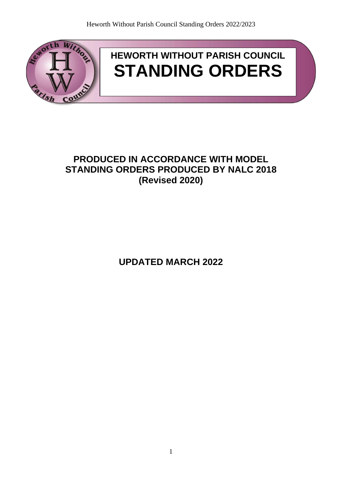

# **HEWORTH WITHOUT PARISH COUNCIL STANDING ORDERS**

# **PRODUCED IN ACCORDANCE WITH MODEL STANDING ORDERS PRODUCED BY NALC 2018 (Revised 2020)**

**UPDATED MARCH 2022**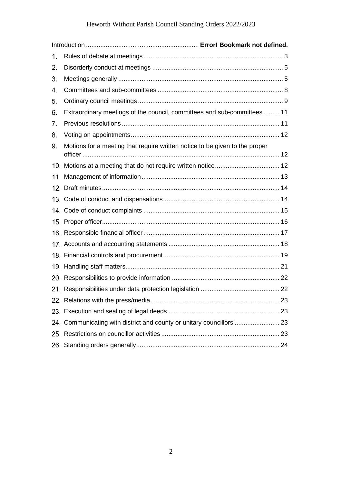## Heworth Without Parish Council Standing Orders 2022/2023

| 1. |                                                                             |  |
|----|-----------------------------------------------------------------------------|--|
| 2. |                                                                             |  |
| 3. |                                                                             |  |
| 4. |                                                                             |  |
| 5. |                                                                             |  |
| 6. | Extraordinary meetings of the council, committees and sub-committees 11     |  |
| 7. |                                                                             |  |
| 8. |                                                                             |  |
| 9. | Motions for a meeting that require written notice to be given to the proper |  |
|    |                                                                             |  |
|    |                                                                             |  |
|    |                                                                             |  |
|    |                                                                             |  |
|    |                                                                             |  |
|    |                                                                             |  |
|    |                                                                             |  |
|    |                                                                             |  |
|    |                                                                             |  |
|    |                                                                             |  |
|    |                                                                             |  |
|    |                                                                             |  |
|    |                                                                             |  |
|    |                                                                             |  |
|    | 24. Communicating with district and county or unitary councillors  23       |  |
|    |                                                                             |  |
|    |                                                                             |  |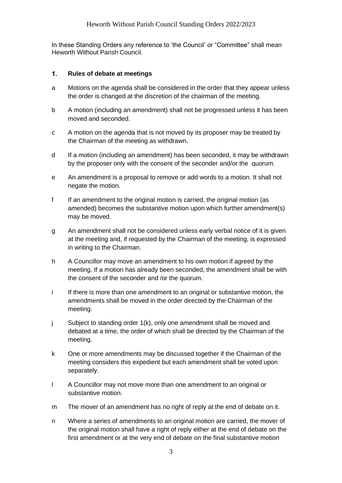<span id="page-2-0"></span>In these Standing Orders any reference to 'the Council' or "Committee" shall mean Heworth Without Parish Council.

#### $1.$ **Rules of debate at meetings**

- a Motions on the agenda shall be considered in the order that they appear unless the order is changed at the discretion of the chairman of the meeting.
- b A motion (including an amendment) shall not be progressed unless it has been moved and seconded.
- c A motion on the agenda that is not moved by its proposer may be treated by the Chairman of the meeting as withdrawn.
- d If a motion (including an amendment) has been seconded, it may be withdrawn by the proposer only with the consent of the seconder and/or the quorum.
- e An amendment is a proposal to remove or add words to a motion. It shall not negate the motion.
- f If an amendment to the original motion is carried, the original motion (as amended) becomes the substantive motion upon which further amendment(s) may be moved.
- g An amendment shall not be considered unless early verbal notice of it is given at the meeting and, if requested by the Chairman of the meeting, is expressed in writing to the Chairman.
- h A Councillor may move an amendment to his own motion if agreed by the meeting. If a motion has already been seconded, the amendment shall be with the consent of the seconder and /or the quorum.
- i If there is more than one amendment to an original or substantive motion, the amendments shall be moved in the order directed by the Chairman of the meeting.
- j Subject to standing order 1(k), only one amendment shall be moved and debated at a time, the order of which shall be directed by the Chairman of the meeting.
- k One or more amendments may be discussed together if the Chairman of the meeting considers this expedient but each amendment shall be voted upon separately.
- l A Councillor may not move more than one amendment to an original or substantive motion.
- m The mover of an amendment has no right of reply at the end of debate on it.
- n Where a series of amendments to an original motion are carried, the mover of the original motion shall have a right of reply either at the end of debate on the first amendment or at the very end of debate on the final substantive motion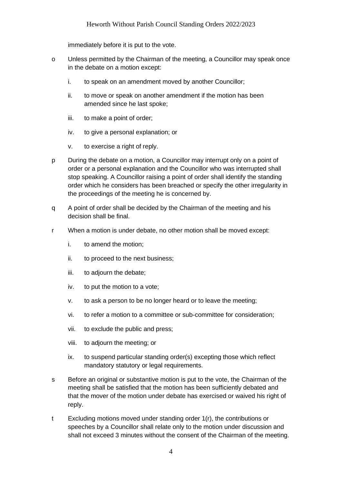immediately before it is put to the vote.

- o Unless permitted by the Chairman of the meeting, a Councillor may speak once in the debate on a motion except:
	- i. to speak on an amendment moved by another Councillor;
	- ii. to move or speak on another amendment if the motion has been amended since he last spoke;
	- iii. to make a point of order;
	- iv. to give a personal explanation; or
	- v. to exercise a right of reply.
- p During the debate on a motion, a Councillor may interrupt only on a point of order or a personal explanation and the Councillor who was interrupted shall stop speaking. A Councillor raising a point of order shall identify the standing order which he considers has been breached or specify the other irregularity in the proceedings of the meeting he is concerned by.
- q A point of order shall be decided by the Chairman of the meeting and his decision shall be final.
- r When a motion is under debate, no other motion shall be moved except:
	- i. to amend the motion;
	- ii. to proceed to the next business;
	- iii. to adjourn the debate;
	- iv. to put the motion to a vote;
	- v. to ask a person to be no longer heard or to leave the meeting;
	- vi. to refer a motion to a committee or sub-committee for consideration;
	- vii. to exclude the public and press;
	- viii. to adjourn the meeting; or
	- ix. to suspend particular standing order(s) excepting those which reflect mandatory statutory or legal requirements.
- s Before an original or substantive motion is put to the vote, the Chairman of the meeting shall be satisfied that the motion has been sufficiently debated and that the mover of the motion under debate has exercised or waived his right of reply.
- t Excluding motions moved under standing order 1(r), the contributions or speeches by a Councillor shall relate only to the motion under discussion and shall not exceed 3 minutes without the consent of the Chairman of the meeting.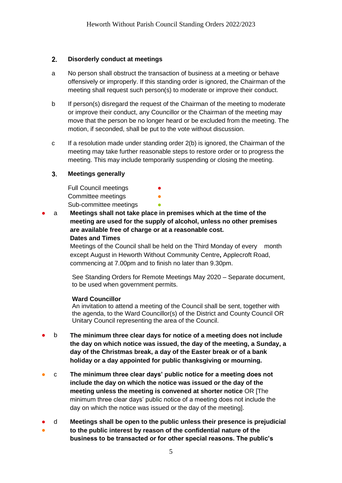### <span id="page-4-0"></span> $2.$ **Disorderly conduct at meetings**

- a No person shall obstruct the transaction of business at a meeting or behave offensively or improperly. If this standing order is ignored, the Chairman of the meeting shall request such person(s) to moderate or improve their conduct.
- b If person(s) disregard the request of the Chairman of the meeting to moderate or improve their conduct, any Councillor or the Chairman of the meeting may move that the person be no longer heard or be excluded from the meeting. The motion, if seconded, shall be put to the vote without discussion.
- c If a resolution made under standing order 2(b) is ignored, the Chairman of the meeting may take further reasonable steps to restore order or to progress the meeting. This may include temporarily suspending or closing the meeting.

### <span id="page-4-1"></span> $3<sub>1</sub>$ **Meetings generally**

Full Council meetings Committee meetings Sub-committee meetings

a **Meetings shall not take place in premises which at the time of the meeting are used for the supply of alcohol, unless no other premises are available free of charge or at a reasonable cost. Dates and Times**

> Meetings of the Council shall be held on the Third Monday of every month except August in Heworth Without Community Centre**,** Applecroft Road, commencing at 7.00pm and to finish no later than 9.30pm.

See Standing Orders for Remote Meetings May 2020 – Separate document, to be used when government permits.

### **Ward Councillor**

An invitation to attend a meeting of the Council shall be sent, together with the agenda, to the Ward Councillor(s) of the District and County Council OR Unitary Council representing the area of the Council.

- b **The minimum three clear days for notice of a meeting does not include the day on which notice was issued, the day of the meeting, a Sunday, a day of the Christmas break, a day of the Easter break or of a bank holiday or a day appointed for public thanksgiving or mourning.**
- c **The minimum three clear days' public notice for a meeting does not include the day on which the notice was issued or the day of the meeting unless the meeting is convened at shorter notice** OR [The minimum three clear days' public notice of a meeting does not include the day on which the notice was issued or the day of the meeting].
- ● d **Meetings shall be open to the public unless their presence is prejudicial to the public interest by reason of the confidential nature of the business to be transacted or for other special reasons. The public's**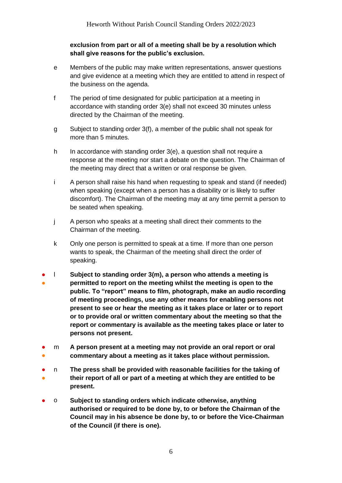### **exclusion from part or all of a meeting shall be by a resolution which shall give reasons for the public's exclusion.**

- e Members of the public may make written representations, answer questions and give evidence at a meeting which they are entitled to attend in respect of the business on the agenda.
- f The period of time designated for public participation at a meeting in accordance with standing order 3(e) shall not exceed 30 minutes unless directed by the Chairman of the meeting.
- g Subject to standing order 3(f), a member of the public shall not speak for more than 5 minutes.
- h In accordance with standing order 3(e), a question shall not require a response at the meeting nor start a debate on the question. The Chairman of the meeting may direct that a written or oral response be given.
- i A person shall raise his hand when requesting to speak and stand (if needed) when speaking (except when a person has a disability or is likely to suffer discomfort). The Chairman of the meeting may at any time permit a person to be seated when speaking.
- j A person who speaks at a meeting shall direct their comments to the Chairman of the meeting.
- k Only one person is permitted to speak at a time. If more than one person wants to speak, the Chairman of the meeting shall direct the order of speaking.
- ● l **Subject to standing order 3(m), a person who attends a meeting is permitted to report on the meeting whilst the meeting is open to the public. To "report" means to film, photograph, make an audio recording of meeting proceedings, use any other means for enabling persons not present to see or hear the meeting as it takes place or later or to report or to provide oral or written commentary about the meeting so that the report or commentary is available as the meeting takes place or later to persons not present.**
- ● m **A person present at a meeting may not provide an oral report or oral commentary about a meeting as it takes place without permission.**
- ● n **The press shall be provided with reasonable facilities for the taking of their report of all or part of a meeting at which they are entitled to be present.**
- o **Subject to standing orders which indicate otherwise, anything authorised or required to be done by, to or before the Chairman of the Council may in his absence be done by, to or before the Vice-Chairman of the Council (if there is one).**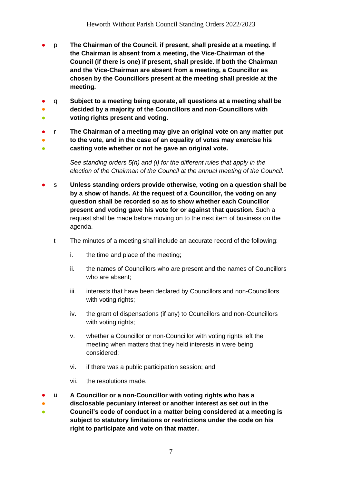- p **The Chairman of the Council, if present, shall preside at a meeting. If the Chairman is absent from a meeting, the Vice-Chairman of the Council (if there is one) if present, shall preside. If both the Chairman and the Vice-Chairman are absent from a meeting, a Councillor as chosen by the Councillors present at the meeting shall preside at the meeting.**
- q **Subject to a meeting being quorate, all questions at a meeting shall be**
- **。 decided by a majority of the Councillors and non-Councillors with voting rights present and voting.**
- r **The Chairman of a meeting may give an original vote on any matter put**
- ● **to the vote, and in the case of an equality of votes may exercise his casting vote whether or not he gave an original vote.**

*See standing orders 5(h) and (i) for the different rules that apply in the election of the Chairman of the Council at the annual meeting of the Council.*

- s Unless standing orders provide otherwise, voting on a question shall be **by a show of hands. At the request of a Councillor, the voting on any question shall be recorded so as to show whether each Councillor present and voting gave his vote for or against that question.** Such a request shall be made before moving on to the next item of business on the agenda.
	- t The minutes of a meeting shall include an accurate record of the following:
		- i. the time and place of the meeting;
		- ii. the names of Councillors who are present and the names of Councillors who are absent;
		- iii. interests that have been declared by Councillors and non-Councillors with voting rights;
		- iv. the grant of dispensations (if any) to Councillors and non-Councillors with voting rights;
		- v. whether a Councillor or non-Councillor with voting rights left the meeting when matters that they held interests in were being considered;
		- vi. if there was a public participation session; and
		- vii. the resolutions made.
- u **A Councillor or a non-Councillor with voting rights who has a**
- **disclosable pecuniary interest or another interest as set out in the**
- **Council's code of conduct in a matter being considered at a meeting is subject to statutory limitations or restrictions under the code on his right to participate and vote on that matter.**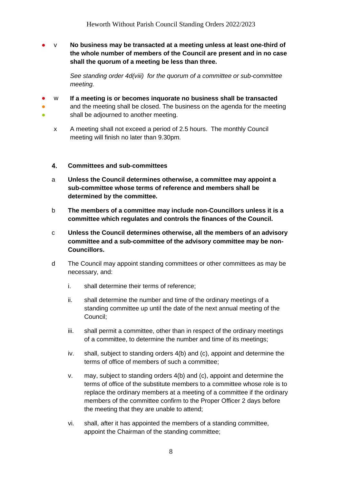● v **No business may be transacted at a meeting unless at least one-third of the whole number of members of the Council are present and in no case shall the quorum of a meeting be less than three.**

> *See standing order 4d(viii) for the quorum of a committee or sub-committee meeting.*

● w **If a meeting is or becomes inquorate no business shall be transacted**

and the meeting shall be closed. The business on the agenda for the meeting shall be adjourned to another meeting.

x A meeting shall not exceed a period of 2.5 hours. The monthly Council meeting will finish no later than 9.30pm.

### <span id="page-7-0"></span>4. **Committees and sub-committees**

● ●

- a **Unless the Council determines otherwise, a committee may appoint a sub-committee whose terms of reference and members shall be determined by the committee.**
- b **The members of a committee may include non-Councillors unless it is a committee which regulates and controls the finances of the Council.**
- c **Unless the Council determines otherwise, all the members of an advisory committee and a sub-committee of the advisory committee may be non-Councillors.**
- d The Council may appoint standing committees or other committees as may be necessary, and:
	- i. shall determine their terms of reference;
	- ii. shall determine the number and time of the ordinary meetings of a standing committee up until the date of the next annual meeting of the Council;
	- iii. shall permit a committee, other than in respect of the ordinary meetings of a committee, to determine the number and time of its meetings;
	- iv. shall, subject to standing orders 4(b) and (c), appoint and determine the terms of office of members of such a committee;
	- v. may, subject to standing orders 4(b) and (c), appoint and determine the terms of office of the substitute members to a committee whose role is to replace the ordinary members at a meeting of a committee if the ordinary members of the committee confirm to the Proper Officer 2 days before the meeting that they are unable to attend;
	- vi. shall, after it has appointed the members of a standing committee, appoint the Chairman of the standing committee;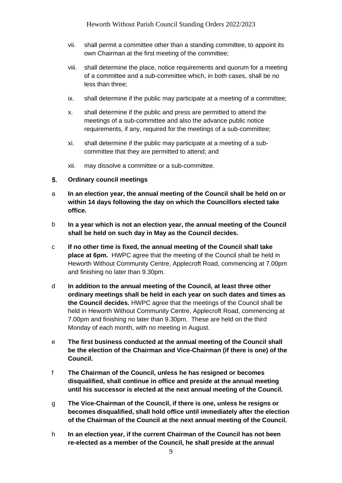- vii. shall permit a committee other than a standing committee, to appoint its own Chairman at the first meeting of the committee;
- viii. shall determine the place, notice requirements and quorum for a meeting of a committee and a sub-committee which, in both cases, shall be no less than three;
- ix. shall determine if the public may participate at a meeting of a committee;
- x. shall determine if the public and press are permitted to attend the meetings of a sub-committee and also the advance public notice requirements, if any, required for the meetings of a sub-committee;
- xi. shall determine if the public may participate at a meeting of a subcommittee that they are permitted to attend; and
- xii. may dissolve a committee or a sub-committee.
- <span id="page-8-0"></span> $5<sub>1</sub>$ **Ordinary council meetings**
- a **In an election year, the annual meeting of the Council shall be held on or within 14 days following the day on which the Councillors elected take office.**
- b **In a year which is not an election year, the annual meeting of the Council shall be held on such day in May as the Council decides.**
- c **If no other time is fixed, the annual meeting of the Council shall take place at 6pm.** HWPC agree that the meeting of the Council shall be held in Heworth Without Community Centre, Applecroft Road, commencing at 7.00pm and finishing no later than 9.30pm.
- d **In addition to the annual meeting of the Council, at least three other ordinary meetings shall be held in each year on such dates and times as the Council decides.** HWPC agree that the meetings of the Council shall be held in Heworth Without Community Centre, Applecroft Road, commencing at 7.00pm and finishing no later than 9.30pm. These are held on the third Monday of each month, with no meeting in August.
- e **The first business conducted at the annual meeting of the Council shall be the election of the Chairman and Vice-Chairman (if there is one) of the Council.**
- f **The Chairman of the Council, unless he has resigned or becomes disqualified, shall continue in office and preside at the annual meeting until his successor is elected at the next annual meeting of the Council.**
- g **The Vice-Chairman of the Council, if there is one, unless he resigns or becomes disqualified, shall hold office until immediately after the election of the Chairman of the Council at the next annual meeting of the Council.**
- h **In an election year, if the current Chairman of the Council has not been re-elected as a member of the Council, he shall preside at the annual**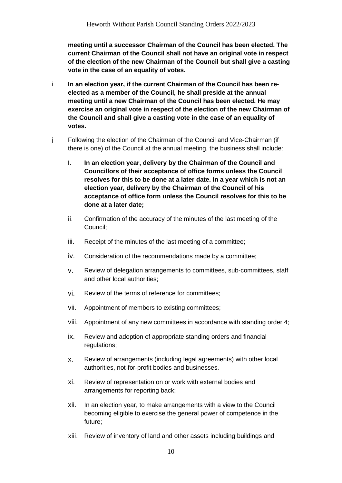**meeting until a successor Chairman of the Council has been elected. The current Chairman of the Council shall not have an original vote in respect of the election of the new Chairman of the Council but shall give a casting vote in the case of an equality of votes.**

- i **In an election year, if the current Chairman of the Council has been reelected as a member of the Council, he shall preside at the annual meeting until a new Chairman of the Council has been elected. He may exercise an original vote in respect of the election of the new Chairman of the Council and shall give a casting vote in the case of an equality of votes.**
- j Following the election of the Chairman of the Council and Vice-Chairman (if there is one) of the Council at the annual meeting, the business shall include:
	- i. **In an election year, delivery by the Chairman of the Council and Councillors of their acceptance of office forms unless the Council resolves for this to be done at a later date. In a year which is not an election year, delivery by the Chairman of the Council of his acceptance of office form unless the Council resolves for this to be done at a later date;**
	- ii. Confirmation of the accuracy of the minutes of the last meeting of the Council;
	- iii. Receipt of the minutes of the last meeting of a committee;
	- iv. Consideration of the recommendations made by a committee;
	- v. Review of delegation arrangements to committees, sub-committees, staff and other local authorities;
	- vi. Review of the terms of reference for committees;
	- vii. Appointment of members to existing committees;
	- viii. Appointment of any new committees in accordance with standing order 4;
	- ix. Review and adoption of appropriate standing orders and financial regulations;
	- x. Review of arrangements (including legal agreements) with other local authorities, not-for-profit bodies and businesses.
	- xi. Review of representation on or work with external bodies and arrangements for reporting back;
	- xii. In an election year, to make arrangements with a view to the Council becoming eligible to exercise the general power of competence in the future;
	- xiii. Review of inventory of land and other assets including buildings and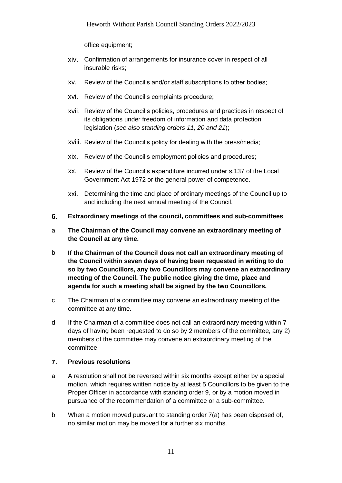office equipment;

- xiv. Confirmation of arrangements for insurance cover in respect of all insurable risks;
- xv. Review of the Council's and/or staff subscriptions to other bodies;
- xvi. Review of the Council's complaints procedure;
- xvii. Review of the Council's policies, procedures and practices in respect of its obligations under freedom of information and data protection legislation (*see also standing orders 11, 20 and 21*);
- xviii. Review of the Council's policy for dealing with the press/media;
- xix. Review of the Council's employment policies and procedures;
- xx. Review of the Council's expenditure incurred under s.137 of the Local Government Act 1972 or the general power of competence.
- xxi. Determining the time and place of ordinary meetings of the Council up to and including the next annual meeting of the Council.
- <span id="page-10-0"></span>6. **Extraordinary meetings of the council, committees and sub-committees**
- a **The Chairman of the Council may convene an extraordinary meeting of the Council at any time.**
- b **If the Chairman of the Council does not call an extraordinary meeting of the Council within seven days of having been requested in writing to do so by two Councillors, any two Councillors may convene an extraordinary meeting of the Council. The public notice giving the time, place and agenda for such a meeting shall be signed by the two Councillors.**
- c The Chairman of a committee may convene an extraordinary meeting of the committee at any time.
- d If the Chairman of a committee does not call an extraordinary meeting within 7 days of having been requested to do so by 2 members of the committee, any 2) members of the committee may convene an extraordinary meeting of the committee.

### <span id="page-10-1"></span> $\overline{7}$ . **Previous resolutions**

- a A resolution shall not be reversed within six months except either by a special motion, which requires written notice by at least 5 Councillors to be given to the Proper Officer in accordance with standing order 9, or by a motion moved in pursuance of the recommendation of a committee or a sub-committee.
- b When a motion moved pursuant to standing order 7(a) has been disposed of, no similar motion may be moved for a further six months.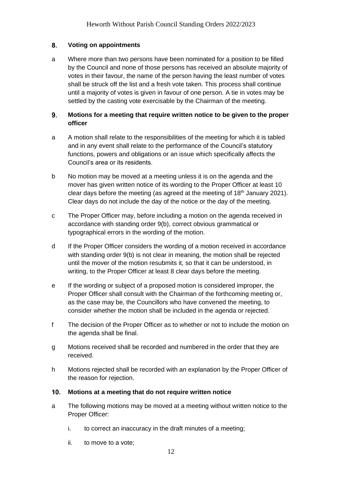### <span id="page-11-0"></span>8. **Voting on appointments**

a Where more than two persons have been nominated for a position to be filled by the Council and none of those persons has received an absolute majority of votes in their favour, the name of the person having the least number of votes shall be struck off the list and a fresh vote taken. This process shall continue until a majority of votes is given in favour of one person. A tie in votes may be settled by the casting vote exercisable by the Chairman of the meeting.

### <span id="page-11-1"></span>9. **Motions for a meeting that require written notice to be given to the proper officer**

- a A motion shall relate to the responsibilities of the meeting for which it is tabled and in any event shall relate to the performance of the Council's statutory functions, powers and obligations or an issue which specifically affects the Council's area or its residents.
- b No motion may be moved at a meeting unless it is on the agenda and the mover has given written notice of its wording to the Proper Officer at least 10 clear days before the meeting (as agreed at the meeting of 18<sup>th</sup> January 2021). Clear days do not include the day of the notice or the day of the meeting.
- c The Proper Officer may, before including a motion on the agenda received in accordance with standing order 9(b), correct obvious grammatical or typographical errors in the wording of the motion.
- d If the Proper Officer considers the wording of a motion received in accordance with standing order 9(b) is not clear in meaning, the motion shall be rejected until the mover of the motion resubmits it, so that it can be understood, in writing, to the Proper Officer at least 8 clear days before the meeting.
- e If the wording or subject of a proposed motion is considered improper, the Proper Officer shall consult with the Chairman of the forthcoming meeting or, as the case may be, the Councillors who have convened the meeting, to consider whether the motion shall be included in the agenda or rejected.
- f The decision of the Proper Officer as to whether or not to include the motion on the agenda shall be final.
- g Motions received shall be recorded and numbered in the order that they are received.
- h Motions rejected shall be recorded with an explanation by the Proper Officer of the reason for rejection.
- <span id="page-11-2"></span> $10.$ **Motions at a meeting that do not require written notice**
- a The following motions may be moved at a meeting without written notice to the Proper Officer:
	- i. to correct an inaccuracy in the draft minutes of a meeting;
	- ii. to move to a vote;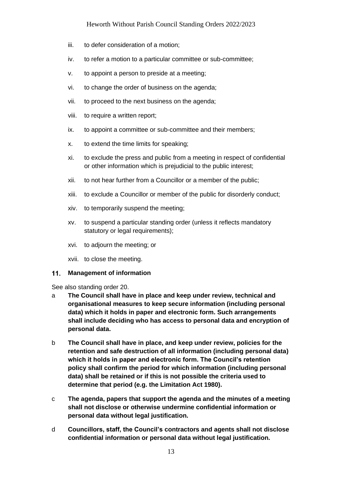### Heworth Without Parish Council Standing Orders 2022/2023

- iii. to defer consideration of a motion;
- iv. to refer a motion to a particular committee or sub-committee;
- v. to appoint a person to preside at a meeting;
- vi. to change the order of business on the agenda;
- vii. to proceed to the next business on the agenda;
- viii. to require a written report;
- ix. to appoint a committee or sub-committee and their members;
- x. to extend the time limits for speaking;
- xi. to exclude the press and public from a meeting in respect of confidential or other information which is prejudicial to the public interest;
- xii. to not hear further from a Councillor or a member of the public;
- xiii. to exclude a Councillor or member of the public for disorderly conduct;
- xiv. to temporarily suspend the meeting;
- xv. to suspend a particular standing order (unless it reflects mandatory statutory or legal requirements);
- xvi. to adjourn the meeting; or
- xvii. to close the meeting.

#### <span id="page-12-0"></span> $11.$ **Management of information**

See also standing order 20.

- a **The Council shall have in place and keep under review, technical and organisational measures to keep secure information (including personal data) which it holds in paper and electronic form. Such arrangements shall include deciding who has access to personal data and encryption of personal data.**
- b **The Council shall have in place, and keep under review, policies for the retention and safe destruction of all information (including personal data) which it holds in paper and electronic form. The Council's retention policy shall confirm the period for which information (including personal data) shall be retained or if this is not possible the criteria used to determine that period (e.g. the Limitation Act 1980).**
- c **The agenda, papers that support the agenda and the minutes of a meeting shall not disclose or otherwise undermine confidential information or personal data without legal justification.**
- d **Councillors, staff, the Council's contractors and agents shall not disclose confidential information or personal data without legal justification.**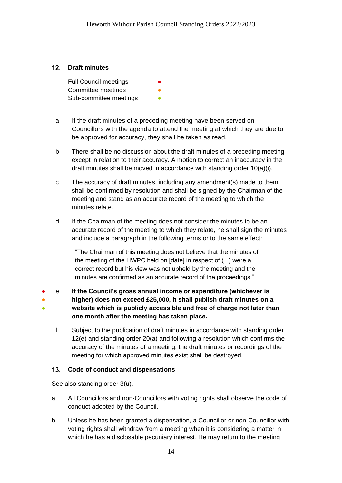### <span id="page-13-0"></span>**Draft minutes**

Full Council meetings Committee meetings Sub-committee meetings

- a If the draft minutes of a preceding meeting have been served on Councillors with the agenda to attend the meeting at which they are due to be approved for accuracy, they shall be taken as read.
- b There shall be no discussion about the draft minutes of a preceding meeting except in relation to their accuracy. A motion to correct an inaccuracy in the draft minutes shall be moved in accordance with standing order 10(a)(i).
- c The accuracy of draft minutes, including any amendment(s) made to them, shall be confirmed by resolution and shall be signed by the Chairman of the meeting and stand as an accurate record of the meeting to which the minutes relate.
- d If the Chairman of the meeting does not consider the minutes to be an accurate record of the meeting to which they relate, he shall sign the minutes and include a paragraph in the following terms or to the same effect:

"The Chairman of this meeting does not believe that the minutes of the meeting of the HWPC held on [date] in respect of ( ) were a correct record but his view was not upheld by the meeting and the minutes are confirmed as an accurate record of the proceedings."

- ● ● e **If the Council's gross annual income or expenditure (whichever is higher) does not exceed £25,000, it shall publish draft minutes on a website which is publicly accessible and free of charge not later than one month after the meeting has taken place.**
	- f Subject to the publication of draft minutes in accordance with standing order 12(e) and standing order 20(a) and following a resolution which confirms the accuracy of the minutes of a meeting, the draft minutes or recordings of the meeting for which approved minutes exist shall be destroyed.

### <span id="page-13-1"></span> $13.$ **Code of conduct and dispensations**

See also standing order 3(u).

- a All Councillors and non-Councillors with voting rights shall observe the code of conduct adopted by the Council.
- b Unless he has been granted a dispensation, a Councillor or non-Councillor with voting rights shall withdraw from a meeting when it is considering a matter in which he has a disclosable pecuniary interest. He may return to the meeting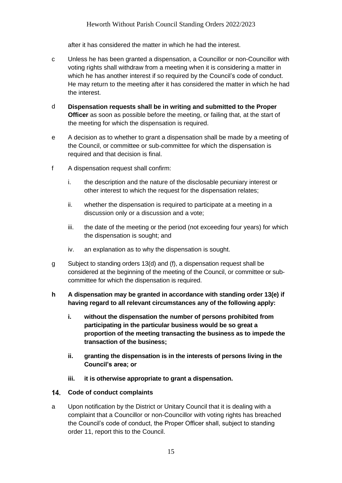after it has considered the matter in which he had the interest.

- c Unless he has been granted a dispensation, a Councillor or non-Councillor with voting rights shall withdraw from a meeting when it is considering a matter in which he has another interest if so required by the Council's code of conduct. He may return to the meeting after it has considered the matter in which he had the interest.
- d **Dispensation requests shall be in writing and submitted to the Proper Officer** as soon as possible before the meeting, or failing that, at the start of the meeting for which the dispensation is required.
- e A decision as to whether to grant a dispensation shall be made by a meeting of the Council, or committee or sub-committee for which the dispensation is required and that decision is final.
- f A dispensation request shall confirm:
	- i. the description and the nature of the disclosable pecuniary interest or other interest to which the request for the dispensation relates;
	- ii. whether the dispensation is required to participate at a meeting in a discussion only or a discussion and a vote;
	- iii. the date of the meeting or the period (not exceeding four years) for which the dispensation is sought; and
	- iv. an explanation as to why the dispensation is sought.
- g Subject to standing orders 13(d) and (f), a dispensation request shall be considered at the beginning of the meeting of the Council, or committee or subcommittee for which the dispensation is required.

### **h A dispensation may be granted in accordance with standing order 13(e) if having regard to all relevant circumstances any of the following apply:**

- **i. without the dispensation the number of persons prohibited from participating in the particular business would be so great a proportion of the meeting transacting the business as to impede the transaction of the business;**
- **ii. granting the dispensation is in the interests of persons living in the Council's area; or**
- **iii. it is otherwise appropriate to grant a dispensation.**

### <span id="page-14-0"></span>**Code of conduct complaints**

a Upon notification by the District or Unitary Council that it is dealing with a complaint that a Councillor or non-Councillor with voting rights has breached the Council's code of conduct, the Proper Officer shall, subject to standing order 11, report this to the Council.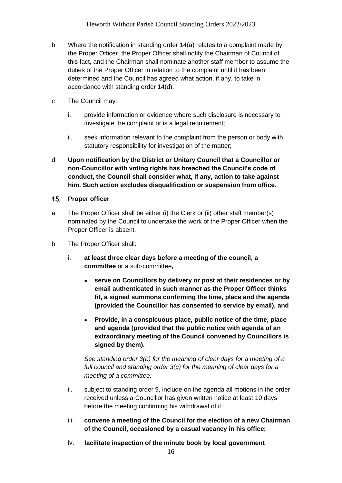- b Where the notification in standing order 14(a) relates to a complaint made by the Proper Officer, the Proper Officer shall notify the Chairman of Council of this fact, and the Chairman shall nominate another staff member to assume the duties of the Proper Officer in relation to the complaint until it has been determined and the Council has agreed what action, if any, to take in accordance with standing order 14(d).
- c The Council may:
	- i. provide information or evidence where such disclosure is necessary to investigate the complaint or is a legal requirement;
	- ii. seek information relevant to the complaint from the person or body with statutory responsibility for investigation of the matter;
- d **Upon notification by the District or Unitary Council that a Councillor or non-Councillor with voting rights has breached the Council's code of conduct, the Council shall consider what, if any, action to take against him. Such action excludes disqualification or suspension from office.**
- <span id="page-15-0"></span>15. Proper officer
- a The Proper Officer shall be either (i) the Clerk or (ii) other staff member(s) nominated by the Council to undertake the work of the Proper Officer when the Proper Officer is absent.
- b The Proper Officer shall:
	- i. **at least three clear days before a meeting of the council, a committee** or a sub-committee**,**
		- **serve on Councillors by delivery or post at their residences or by email authenticated in such manner as the Proper Officer thinks fit, a signed summons confirming the time, place and the agenda (provided the Councillor has consented to service by email), and**
		- **Provide, in a conspicuous place, public notice of the time, place and agenda (provided that the public notice with agenda of an extraordinary meeting of the Council convened by Councillors is signed by them).**

*See standing order 3(b) for the meaning of clear days for a meeting of a full council and standing order 3(c) for the meaning of clear days for a meeting of a committee;*

- ii. subject to standing order 9, include on the agenda all motions in the order received unless a Councillor has given written notice at least 10 days before the meeting confirming his withdrawal of it;
- iii. **convene a meeting of the Council for the election of a new Chairman of the Council, occasioned by a casual vacancy in his office;**
- iv. **facilitate inspection of the minute book by local government**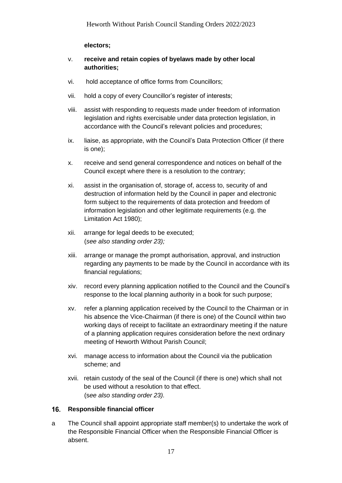### **electors;**

- v. **receive and retain copies of byelaws made by other local authorities;**
- vi. hold acceptance of office forms from Councillors;
- vii. hold a copy of every Councillor's register of interests;
- viii. assist with responding to requests made under freedom of information legislation and rights exercisable under data protection legislation, in accordance with the Council's relevant policies and procedures;
- ix. liaise, as appropriate, with the Council's Data Protection Officer (if there is one);
- x. receive and send general correspondence and notices on behalf of the Council except where there is a resolution to the contrary;
- xi. assist in the organisation of, storage of, access to, security of and destruction of information held by the Council in paper and electronic form subject to the requirements of data protection and freedom of information legislation and other legitimate requirements (e.g. the Limitation Act 1980);
- xii. arrange for legal deeds to be executed; (*see also standing order 23);*
- xiii. arrange or manage the prompt authorisation, approval, and instruction regarding any payments to be made by the Council in accordance with its financial regulations;
- xiv. record every planning application notified to the Council and the Council's response to the local planning authority in a book for such purpose;
- xv. refer a planning application received by the Council to the Chairman or in his absence the Vice-Chairman (if there is one) of the Council within two working days of receipt to facilitate an extraordinary meeting if the nature of a planning application requires consideration before the next ordinary meeting of Heworth Without Parish Council;
- xvi. manage access to information about the Council via the publication scheme; and
- xvii. retain custody of the seal of the Council (if there is one) which shall not be used without a resolution to that effect. (s*ee also standing order 23).*

### <span id="page-16-0"></span>16. Responsible financial officer

a The Council shall appoint appropriate staff member(s) to undertake the work of the Responsible Financial Officer when the Responsible Financial Officer is absent.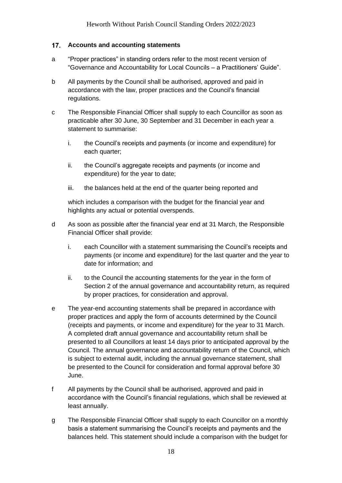### <span id="page-17-0"></span> $17.$ **Accounts and accounting statements**

- a "Proper practices" in standing orders refer to the most recent version of "Governance and Accountability for Local Councils – a Practitioners' Guide".
- b All payments by the Council shall be authorised, approved and paid in accordance with the law, proper practices and the Council's financial regulations.
- c The Responsible Financial Officer shall supply to each Councillor as soon as practicable after 30 June, 30 September and 31 December in each year a statement to summarise:
	- i. the Council's receipts and payments (or income and expenditure) for each quarter;
	- ii. the Council's aggregate receipts and payments (or income and expenditure) for the year to date;
	- iii. the balances held at the end of the quarter being reported and

which includes a comparison with the budget for the financial year and highlights any actual or potential overspends.

- d As soon as possible after the financial year end at 31 March, the Responsible Financial Officer shall provide:
	- i. each Councillor with a statement summarising the Council's receipts and payments (or income and expenditure) for the last quarter and the year to date for information; and
	- ii. to the Council the accounting statements for the year in the form of Section 2 of the annual governance and accountability return, as required by proper practices, for consideration and approval.
- e The year-end accounting statements shall be prepared in accordance with proper practices and apply the form of accounts determined by the Council (receipts and payments, or income and expenditure) for the year to 31 March. A completed draft annual governance and accountability return shall be presented to all Councillors at least 14 days prior to anticipated approval by the Council. The annual governance and accountability return of the Council, which is subject to external audit, including the annual governance statement, shall be presented to the Council for consideration and formal approval before 30 June.
- f All payments by the Council shall be authorised, approved and paid in accordance with the Council's financial regulations, which shall be reviewed at least annually.
- g The Responsible Financial Officer shall supply to each Councillor on a monthly basis a statement summarising the Council's receipts and payments and the balances held. This statement should include a comparison with the budget for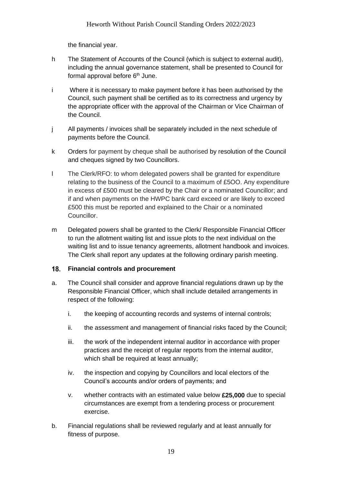the financial year.

- h The Statement of Accounts of the Council (which is subject to external audit), including the annual governance statement, shall be presented to Council for formal approval before  $6<sup>th</sup>$  June.
- i Where it is necessary to make payment before it has been authorised by the Council, such payment shall be certified as to its correctness and urgency by the appropriate officer with the approval of the Chairman or Vice Chairman of the Council.
- j All payments / invoices shall be separately included in the next schedule of payments before the Council.
- k Orders for payment by cheque shall be authorised by resolution of the Council and cheques signed by two Councillors.
- l The Clerk/RFO: to whom delegated powers shall be granted for expenditure relating to the business of the Council to a maximum of £5OO. Any expenditure in excess of £500 must be cleared by the Chair or a nominated Councillor; and if and when payments on the HWPC bank card exceed or are likely to exceed £500 this must be reported and explained to the Chair or a nominated Councillor.
- m Delegated powers shall be granted to the Clerk/ Responsible Financial Officer to run the allotment waiting list and issue plots to the next individual on the waiting list and to issue tenancy agreements, allotment handbook and invoices. The Clerk shall report any updates at the following ordinary parish meeting.

### <span id="page-18-0"></span> $18.$ **Financial controls and procurement**

- a. The Council shall consider and approve financial regulations drawn up by the Responsible Financial Officer, which shall include detailed arrangements in respect of the following:
	- i. the keeping of accounting records and systems of internal controls;
	- ii. the assessment and management of financial risks faced by the Council;
	- iii. the work of the independent internal auditor in accordance with proper practices and the receipt of regular reports from the internal auditor, which shall be required at least annually;
	- iv. the inspection and copying by Councillors and local electors of the Council's accounts and/or orders of payments; and
	- v. whether contracts with an estimated value below **£25,000** due to special circumstances are exempt from a tendering process or procurement exercise.
- b. Financial regulations shall be reviewed regularly and at least annually for fitness of purpose.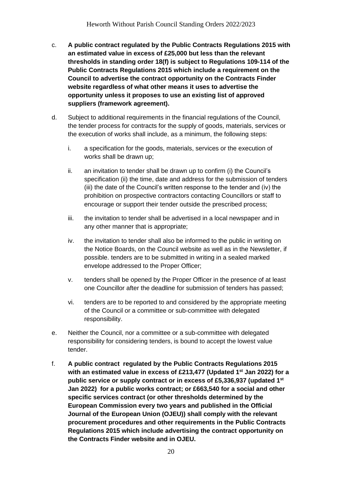- c. **A public contract regulated by the Public Contracts Regulations 2015 with an estimated value in excess of £25,000 but less than the relevant thresholds in standing order 18(f) is subject to Regulations 109-114 of the Public Contracts Regulations 2015 which include a requirement on the Council to advertise the contract opportunity on the Contracts Finder website regardless of what other means it uses to advertise the opportunity unless it proposes to use an existing list of approved suppliers (framework agreement).**
- d. Subject to additional requirements in the financial regulations of the Council, the tender process for contracts for the supply of goods, materials, services or the execution of works shall include, as a minimum, the following steps:
	- i. a specification for the goods, materials, services or the execution of works shall be drawn up;
	- ii. an invitation to tender shall be drawn up to confirm (i) the Council's specification (ii) the time, date and address for the submission of tenders (iii) the date of the Council's written response to the tender and (iv) the prohibition on prospective contractors contacting Councillors or staff to encourage or support their tender outside the prescribed process;
	- iii. the invitation to tender shall be advertised in a local newspaper and in any other manner that is appropriate;
	- iv. the invitation to tender shall also be informed to the public in writing on the Notice Boards, on the Council website as well as in the Newsletter, if possible. tenders are to be submitted in writing in a sealed marked envelope addressed to the Proper Officer;
	- v. tenders shall be opened by the Proper Officer in the presence of at least one Councillor after the deadline for submission of tenders has passed;
	- vi. tenders are to be reported to and considered by the appropriate meeting of the Council or a committee or sub-committee with delegated responsibility.
- e. Neither the Council, nor a committee or a sub-committee with delegated responsibility for considering tenders, is bound to accept the lowest value tender.
- f. **A public contract regulated by the Public Contracts Regulations 2015 with an estimated value in excess of £213,477 (Updated 1st Jan 2022) for a public service or supply contract or in excess of £5,336,937 (updated 1st Jan 2022) for a public works contract; or £663,540 for a social and other specific services contract (or other thresholds determined by the European Commission every two years and published in the Official Journal of the European Union (OJEU)) shall comply with the relevant procurement procedures and other requirements in the Public Contracts Regulations 2015 which include advertising the contract opportunity on the Contracts Finder website and in OJEU.**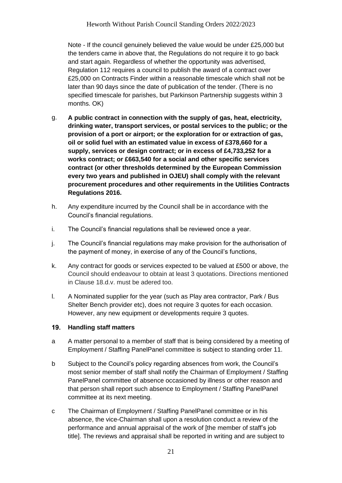Note - If the council genuinely believed the value would be under £25,000 but the tenders came in above that, the Regulations do not require it to go back and start again. Regardless of whether the opportunity was advertised, Regulation 112 requires a council to publish the award of a contract over £25,000 on Contracts Finder within a reasonable timescale which shall not be later than 90 days since the date of publication of the tender. (There is no specified timescale for parishes, but Parkinson Partnership suggests within 3 months. OK)

- g. **A public contract in connection with the supply of gas, heat, electricity, drinking water, transport services, or postal services to the public; or the provision of a port or airport; or the exploration for or extraction of gas, oil or solid fuel with an estimated value in excess of £378,660 for a supply, services or design contract; or in excess of £4,733,252 for a works contract; or £663,540 for a social and other specific services contract (or other thresholds determined by the European Commission every two years and published in OJEU) shall comply with the relevant procurement procedures and other requirements in the Utilities Contracts Regulations 2016.**
- h. Any expenditure incurred by the Council shall be in accordance with the Council's financial regulations.
- i. The Council's financial regulations shall be reviewed once a year.
- j. The Council's financial regulations may make provision for the authorisation of the payment of money, in exercise of any of the Council's functions,
- k. Any contract for goods or services expected to be valued at £500 or above, the Council should endeavour to obtain at least 3 quotations. Directions mentioned in Clause 18.d.v. must be adered too.
- l. A Nominated supplier for the year (such as Play area contractor, Park / Bus Shelter Bench provider etc), does not require 3 quotes for each occasion. However, any new equipment or developments require 3 quotes.

### <span id="page-20-0"></span> $19.$ **Handling staff matters**

- a A matter personal to a member of staff that is being considered by a meeting of Employment / Staffing PanelPanel committee is subject to standing order 11.
- b Subject to the Council's policy regarding absences from work, the Council's most senior member of staff shall notify the Chairman of Employment / Staffing PanelPanel committee of absence occasioned by illness or other reason and that person shall report such absence to Employment / Staffing PanelPanel committee at its next meeting.
- c The Chairman of Employment / Staffing PanelPanel committee or in his absence, the vice-Chairman shall upon a resolution conduct a review of the performance and annual appraisal of the work of [the member of staff's job title]. The reviews and appraisal shall be reported in writing and are subject to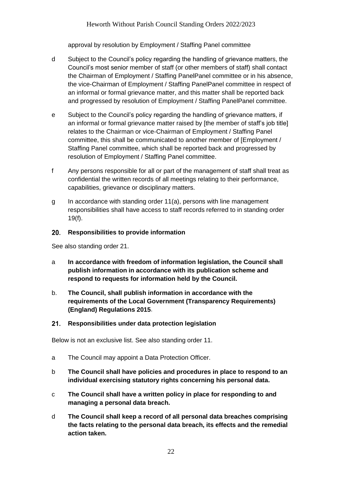approval by resolution by Employment / Staffing Panel committee

- d Subject to the Council's policy regarding the handling of grievance matters, the Council's most senior member of staff (or other members of staff) shall contact the Chairman of Employment / Staffing PanelPanel committee or in his absence, the vice-Chairman of Employment / Staffing PanelPanel committee in respect of an informal or formal grievance matter, and this matter shall be reported back and progressed by resolution of Employment / Staffing PanelPanel committee.
- e Subject to the Council's policy regarding the handling of grievance matters, if an informal or formal grievance matter raised by [the member of staff's job title] relates to the Chairman or vice-Chairman of Employment / Staffing Panel committee, this shall be communicated to another member of [Employment / Staffing Panel committee, which shall be reported back and progressed by resolution of Employment / Staffing Panel committee.
- f Any persons responsible for all or part of the management of staff shall treat as confidential the written records of all meetings relating to their performance, capabilities, grievance or disciplinary matters.
- g In accordance with standing order 11(a), persons with line management responsibilities shall have access to staff records referred to in standing order 19(f).

#### <span id="page-21-0"></span> $20.$ **Responsibilities to provide information**

See also standing order 21.

- a **In accordance with freedom of information legislation, the Council shall publish information in accordance with its publication scheme and respond to requests for information held by the Council.**
- b. **The Council, shall publish information in accordance with the requirements of the Local Government (Transparency Requirements) (England) Regulations 2015**.

#### <span id="page-21-1"></span> $21.$ **Responsibilities under data protection legislation**

Below is not an exclusive list. See also standing order 11.

- a The Council may appoint a Data Protection Officer.
- b **The Council shall have policies and procedures in place to respond to an individual exercising statutory rights concerning his personal data.**
- c **The Council shall have a written policy in place for responding to and managing a personal data breach.**
- d **The Council shall keep a record of all personal data breaches comprising the facts relating to the personal data breach, its effects and the remedial action taken.**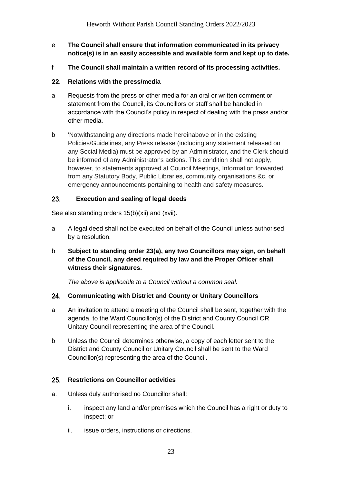- e **The Council shall ensure that information communicated in its privacy notice(s) is in an easily accessible and available form and kept up to date.**
- f **The Council shall maintain a written record of its processing activities.**

### <span id="page-22-0"></span>22. **Relations with the press/media**

- a Requests from the press or other media for an oral or written comment or statement from the Council, its Councillors or staff shall be handled in accordance with the Council's policy in respect of dealing with the press and/or other media.
- b 'Notwithstanding any directions made hereinabove or in the existing Policies/Guidelines, any Press release (including any statement released on any Social Media) must be approved by an Administrator, and the Clerk should be informed of any Administrator's actions. This condition shall not apply, however, to statements approved at Council Meetings, Information forwarded from any Statutory Body, Public Libraries, community organisations &c. or emergency announcements pertaining to health and safety measures.

### <span id="page-22-1"></span> $23.$ **Execution and sealing of legal deeds**

See also standing orders 15(b)(xii) and (xvii).

- a A legal deed shall not be executed on behalf of the Council unless authorised by a resolution.
- b **Subject to standing order 23(a), any two Councillors may sign, on behalf of the Council, any deed required by law and the Proper Officer shall witness their signatures.**

*The above is applicable to a Council without a common seal.*

### <span id="page-22-2"></span>24. **Communicating with District and County or Unitary Councillors**

- a An invitation to attend a meeting of the Council shall be sent, together with the agenda, to the Ward Councillor(s) of the District and County Council OR Unitary Council representing the area of the Council.
- b Unless the Council determines otherwise, a copy of each letter sent to the District and County Council or Unitary Council shall be sent to the Ward Councillor(s) representing the area of the Council.

### <span id="page-22-3"></span> $25.$ **Restrictions on Councillor activities**

- a. Unless duly authorised no Councillor shall:
	- i. inspect any land and/or premises which the Council has a right or duty to inspect; or
	- ii. issue orders, instructions or directions.